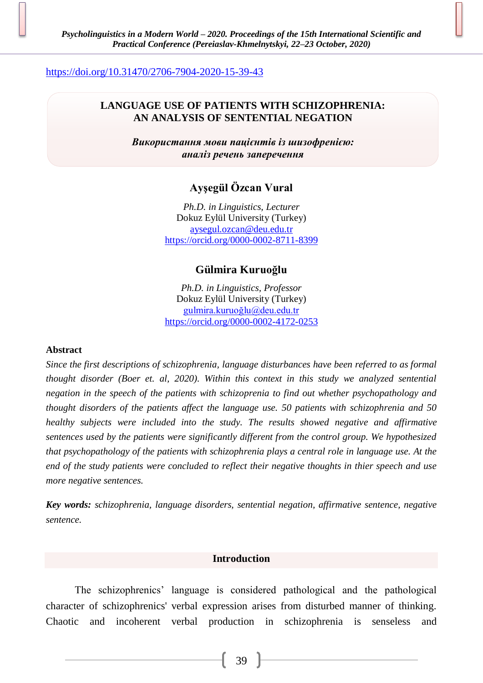<https://doi.org/10.31470/2706-7904-2020-15-39-43>

# **LANGUAGE USE OF PATIENTS WITH SCHIZOPHRENIA: AN ANALYSIS OF SENTENTIAL NEGATION**

*Використання мови пацієнтів із шизофренією: аналіз речень заперечення*

# **Ayşegül Özcan Vural**

*Ph.D. in Linguistics, Lecturer* Dokuz Eylül University (Turkey) [aysegul.ozcan@deu.edu.tr](mailto:aysegul.ozcan@deu.edu.tr) <https://orcid.org/0000-0002-8711-8399>

# **Gülmira Kuruoğlu**

*Ph.D. in Linguistics, Professor* Dokuz Eylül University (Turkey) [gulmira.kuruoğlu@deu.edu.tr](mailto:gulmira.kuruoğlu@deu.edu.tr) <https://orcid.org/0000-0002-4172-0253>

### **Abstract**

*Since the first descriptions of schizophrenia, language disturbances have been referred to as formal thought disorder (Boer et. al, 2020). Within this context in this study we analyzed sentential negation in the speech of the patients with schizoprenia to find out whether psychopathology and thought disorders of the patients affect the language use. 50 patients with schizophrenia and 50 healthy subjects were included into the study. The results showed negative and affirmative sentences used by the patients were significantly different from the control group. We hypothesized that psychopathology of the patients with schizophrenia plays a central role in language use. At the end of the study patients were concluded to reflect their negative thoughts in thier speech and use more negative sentences.* 

*Key words: schizophrenia, language disorders, sentential negation, affirmative sentence, negative sentence.*

### **Introduction**

The schizophrenics' language is considered pathological and the pathological character of schizophrenics' verbal expression arises from disturbed manner of thinking. Chaotic and incoherent verbal production in schizophrenia is senseless and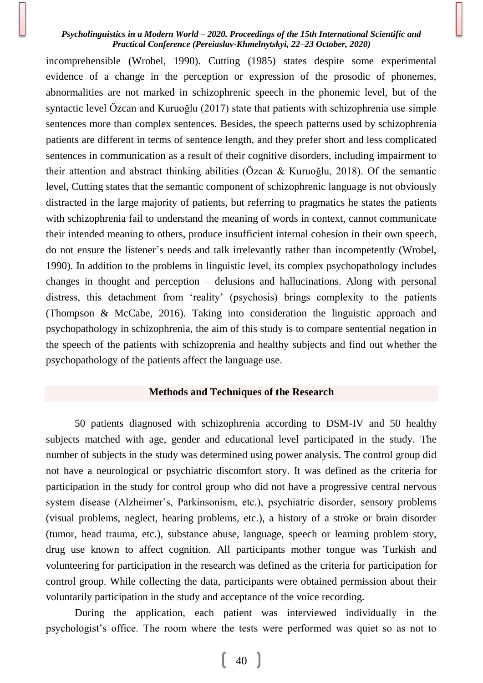### *Psycholinguistics in a Modern World – 2020. Proceedings of the 15th International Scientific and Practical Conference (Pereiaslav-Khmelnytskyi, 22–23 October, 2020)*

incomprehensible (Wrobel, 1990). Cutting (1985) states despite some experimental evidence of a change in the perception or expression of the prosodic of phonemes, abnormalities are not marked in schizophrenic speech in the phonemic level, but of the syntactic level Özcan and Kuruoğlu (2017) state that patients with schizophrenia use simple sentences more than complex sentences. Besides, the speech patterns used by schizophrenia patients are different in terms of sentence length, and they prefer short and less complicated sentences in communication as a result of their cognitive disorders, including impairment to their attention and abstract thinking abilities (Özcan & Kuruoğlu, 2018). Of the semantic level, Cutting states that the semantic component of schizophrenic language is not obviously distracted in the large majority of patients, but referring to pragmatics he states the patients with schizophrenia fail to understand the meaning of words in context, cannot communicate their intended meaning to others, produce insufficient internal cohesion in their own speech, do not ensure the listener's needs and talk irrelevantly rather than incompetently (Wrobel, 1990). In addition to the problems in linguistic level, its complex psychopathology includes changes in thought and perception – delusions and hallucinations. Along with personal distress, this detachment from 'reality' (psychosis) brings complexity to the patients (Thompson & McCabe, 2016). Taking into consideration the linguistic approach and psychopathology in schizophrenia, the aim of this study is to compare sentential negation in the speech of the patients with schizoprenia and healthy subjects and find out whether the psychopathology of the patients affect the language use.

# **Methods and Techniques of the Research**

50 patients diagnosed with schizophrenia according to DSM-IV and 50 healthy subjects matched with age, gender and educational level participated in the study. The number of subjects in the study was determined using power analysis. The control group did not have a neurological or psychiatric discomfort story. It was defined as the criteria for participation in the study for control group who did not have a progressive central nervous system disease (Alzheimer's, Parkinsonism, etc.), psychiatric disorder, sensory problems (visual problems, neglect, hearing problems, etc.), a history of a stroke or brain disorder (tumor, head trauma, etc.), substance abuse, language, speech or learning problem story, drug use known to affect cognition. All participants mother tongue was Turkish and volunteering for participation in the research was defined as the criteria for participation for control group. While collecting the data, participants were obtained permission about their voluntarily participation in the study and acceptance of the voice recording.

During the application, each patient was interviewed individually in the psychologist's office. The room where the tests were performed was quiet so as not to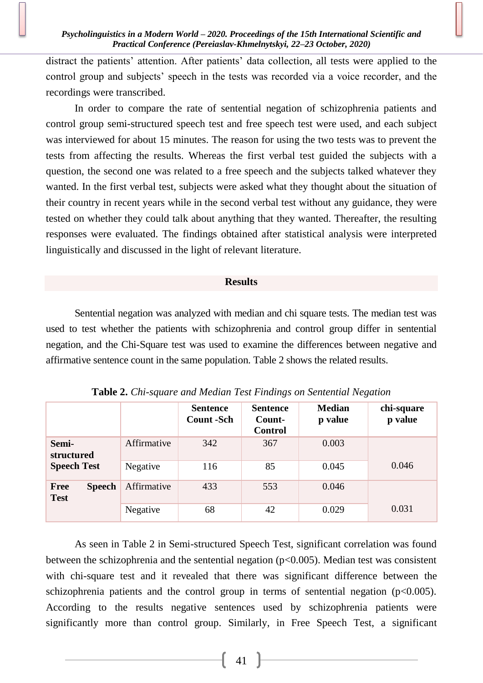distract the patients' attention. After patients' data collection, all tests were applied to the control group and subjects' speech in the tests was recorded via a voice recorder, and the recordings were transcribed.

In order to compare the rate of sentential negation of schizophrenia patients and control group semi-structured speech test and free speech test were used, and each subject was interviewed for about 15 minutes. The reason for using the two tests was to prevent the tests from affecting the results. Whereas the first verbal test guided the subjects with a question, the second one was related to a free speech and the subjects talked whatever they wanted. In the first verbal test, subjects were asked what they thought about the situation of their country in recent years while in the second verbal test without any guidance, they were tested on whether they could talk about anything that they wanted. Thereafter, the resulting responses were evaluated. The findings obtained after statistical analysis were interpreted linguistically and discussed in the light of relevant literature.

### **Results**

Sentential negation was analyzed with median and chi square tests. The median test was used to test whether the patients with schizophrenia and control group differ in sentential negation, and the Chi-Square test was used to examine the differences between negative and affirmative sentence count in the same population. Table 2 shows the related results.

|                                             |             | <b>Sentence</b><br><b>Count</b> - Sch | <b>Sentence</b><br>Count-<br><b>Control</b> | <b>Median</b><br>p value | chi-square<br>p value |
|---------------------------------------------|-------------|---------------------------------------|---------------------------------------------|--------------------------|-----------------------|
| Semi-<br>structured<br><b>Speech Test</b>   | Affirmative | 342                                   | 367                                         | 0.003                    |                       |
|                                             | Negative    | 116                                   | 85                                          | 0.045                    | 0.046                 |
| <b>Speech</b><br><b>Free</b><br><b>Test</b> | Affirmative | 433                                   | 553                                         | 0.046                    |                       |
|                                             | Negative    | 68                                    | 42                                          | 0.029                    | 0.031                 |

**Table 2.** *Chi-square and Median Test Findings on Sentential Negation*

As seen in Table 2 in Semi-structured Speech Test, significant correlation was found between the schizophrenia and the sentential negation (p<0.005). Median test was consistent with chi-square test and it revealed that there was significant difference between the schizophrenia patients and the control group in terms of sentential negation  $(p<0.005)$ . According to the results negative sentences used by schizophrenia patients were significantly more than control group. Similarly, in Free Speech Test, a significant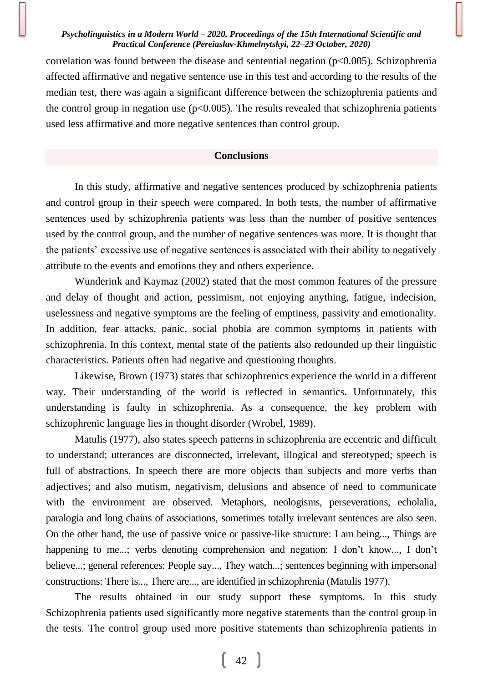correlation was found between the disease and sentential negation  $(p<0.005)$ . Schizophrenia affected affirmative and negative sentence use in this test and according to the results of the median test, there was again a significant difference between the schizophrenia patients and the control group in negation use  $(p<0.005)$ . The results revealed that schizophrenia patients used less affirmative and more negative sentences than control group.

# **Conclusions**

In this study, affirmative and negative sentences produced by schizophrenia patients and control group in their speech were compared. In both tests, the number of affirmative sentences used by schizophrenia patients was less than the number of positive sentences used by the control group, and the number of negative sentences was more. It is thought that the patients' excessive use of negative sentences is associated with their ability to negatively attribute to the events and emotions they and others experience.

Wunderink and Kaymaz (2002) stated that the most common features of the pressure and delay of thought and action, pessimism, not enjoying anything, fatigue, indecision, uselessness and negative symptoms are the feeling of emptiness, passivity and emotionality. In addition, fear attacks, panic, social phobia are common symptoms in patients with schizophrenia. In this context, mental state of the patients also redounded up their linguistic characteristics. Patients often had negative and questioning thoughts.

Likewise, Brown (1973) states that schizophrenics experience the world in a different way. Their understanding of the world is reflected in semantics. Unfortunately, this understanding is faulty in schizophrenia. As a consequence, the key problem with schizophrenic language lies in thought disorder (Wrobel, 1989).

Matulis (1977), also states speech patterns in schizophrenia are eccentric and difficult to understand; utterances are disconnected, irrelevant, illogical and stereotyped; speech is full of abstractions. In speech there are more objects than subjects and more verbs than adjectives; and also mutism, negativism, delusions and absence of need to communicate with the environment are observed. Metaphors, neologisms, perseverations, echolalia, paralogia and long chains of associations, sometimes totally irrelevant sentences are also seen. On the other hand, the use of passive voice or passive-like structure: I am being..., Things are happening to me...; verbs denoting comprehension and negation: I don't know..., I don't believe...; general references: People say..., They watch...; sentences beginning with impersonal constructions: There is..., There are..., are identified in schizophrenia (Matulis 1977).

The results obtained in our study support these symptoms. In this study Schizophrenia patients used significantly more negative statements than the control group in the tests. The control group used more positive statements than schizophrenia patients in